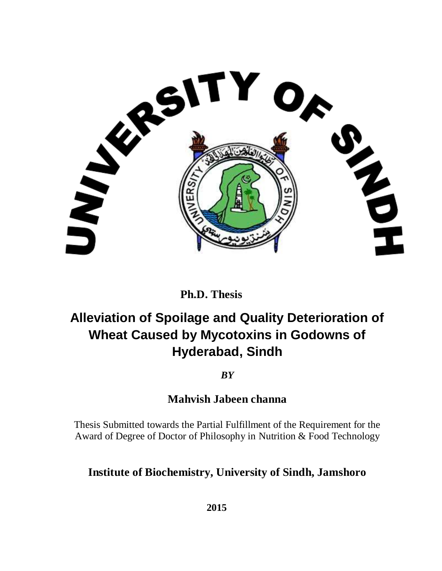

 **Ph.D. Thesis**

## **Alleviation of Spoilage and Quality Deterioration of Wheat Caused by Mycotoxins in Godowns of Hyderabad, Sindh**

*BY*

**Mahvish Jabeen channa**

Thesis Submitted towards the Partial Fulfillment of the Requirement for the Award of Degree of Doctor of Philosophy in Nutrition & Food Technology

### **Institute of Biochemistry, University of Sindh, Jamshoro**

 **2015**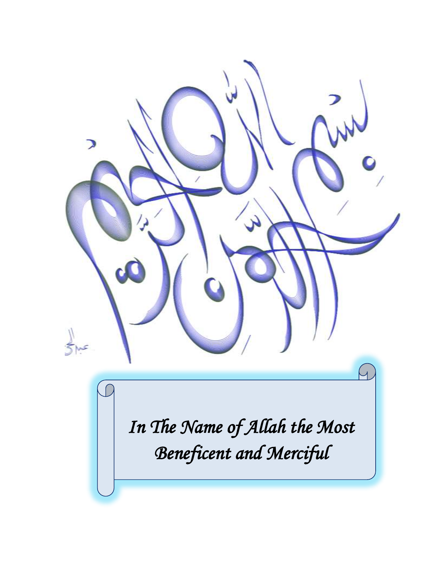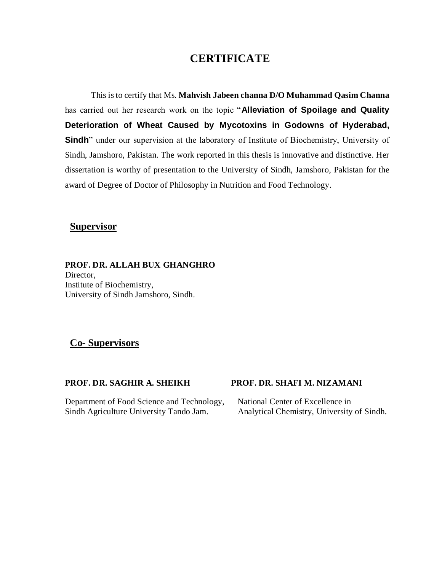### **CERTIFICATE**

This is to certify that Ms. **Mahvish Jabeen channa D/O Muhammad Qasim Channa** has carried out her research work on the topic "**Alleviation of Spoilage and Quality Deterioration of Wheat Caused by Mycotoxins in Godowns of Hyderabad, Sindh**" under our supervision at the laboratory of Institute of Biochemistry, University of Sindh, Jamshoro, Pakistan. The work reported in this thesis is innovative and distinctive. Her dissertation is worthy of presentation to the University of Sindh, Jamshoro, Pakistan for the award of Degree of Doctor of Philosophy in Nutrition and Food Technology.

### **Supervisor**

**PROF. DR. ALLAH BUX GHANGHRO** Director. Institute of Biochemistry, University of Sindh Jamshoro, Sindh.

### **Co- Supervisors**

#### Department of Food Science and Technology, National Center of Excellence in Sindh Agriculture University Tando Jam. Analytical Chemistry, University of Sindh.

#### **PROF. DR. SAGHIR A. SHEIKH PROF. DR. SHAFI M. NIZAMANI**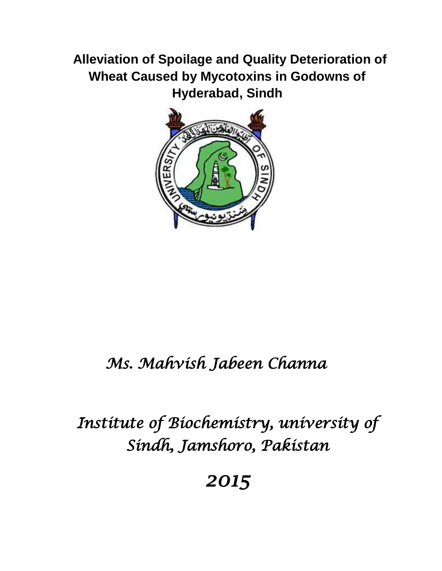## **Alleviation of Spoilage and Quality Deterioration of Wheat Caused by Mycotoxins in Godowns of Hyderabad, Sindh**



## *Ms. Mahvish Jabeen Channa*

## *Institute of Biochemistry, university of Sindh, Jamshoro, Pakistan*

*2015*